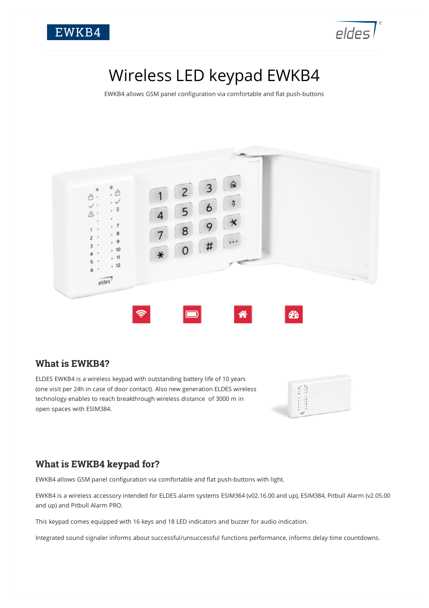



# Wireless LED keypad EWKB4

EWKB4 allows GSM panel configuration via comfortable and flat push-buttons



#### **What is EWKB4?**

ELDES EWKB4 is a wireless keypad with outstanding battery life of 10 years (one visit per 24h in case of door contact). Also new generation ELDES wireless technology enables to reach breakthrough wireless distance of 3000 m in open spaces with ESIM384.



## **What is EWKB4 keypad for?**

EWKB4 allows GSM panel configuration via comfortable and flat push-buttons with light.

EWKB4 is a wireless accessory intended for ELDES alarm systems ESIM364 (v02.16.00 and up), ESIM384, Pitbull Alarm (v2.05.00 and up) and Pitbull Alarm PRO.

This keypad comes equipped with 16 keys and 18 LED indicators and buzzer for audio indication.

Integrated sound signaler informs about successful/unsuccessful functions performance, informs delay time countdowns.